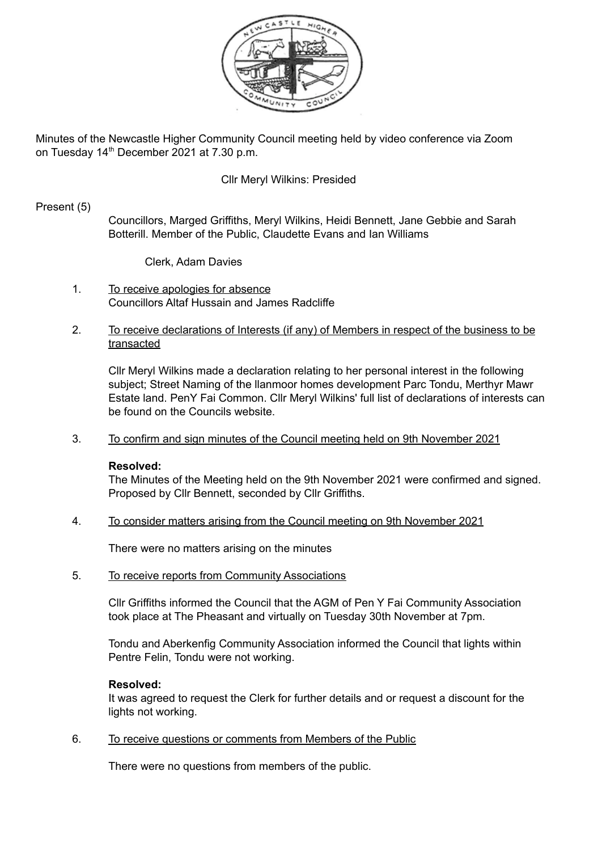

Minutes of the Newcastle Higher Community Council meeting held by video conference via Zoom on Tuesday 14<sup>th</sup> December 2021 at 7.30 p.m.

### Cllr Meryl Wilkins: Presided

#### Present (5)

Councillors, Marged Griffiths, Meryl Wilkins, Heidi Bennett, Jane Gebbie and Sarah Botterill. Member of the Public, Claudette Evans and Ian Williams

Clerk, Adam Davies

- 1. To receive apologies for absence Councillors Altaf Hussain and James Radcliffe
- 2. To receive declarations of Interests (if any) of Members in respect of the business to be transacted

Cllr Meryl Wilkins made a declaration relating to her personal interest in the following subject; Street Naming of the llanmoor homes development Parc Tondu, Merthyr Mawr Estate land. PenY Fai Common. Cllr Meryl Wilkins' full list of declarations of interests can be found on the Councils website.

3. To confirm and sign minutes of the Council meeting held on 9th November 2021

#### **Resolved:**

The Minutes of the Meeting held on the 9th November 2021 were confirmed and signed. Proposed by Cllr Bennett, seconded by Cllr Griffiths.

4. To consider matters arising from the Council meeting on 9th November 2021

There were no matters arising on the minutes

5. To receive reports from Community Associations

Cllr Griffiths informed the Council that the AGM of Pen Y Fai Community Association took place at The Pheasant and virtually on Tuesday 30th November at 7pm.

Tondu and Aberkenfig Community Association informed the Council that lights within Pentre Felin, Tondu were not working.

#### **Resolved:**

It was agreed to request the Clerk for further details and or request a discount for the lights not working.

6. To receive questions or comments from Members of the Public

There were no questions from members of the public.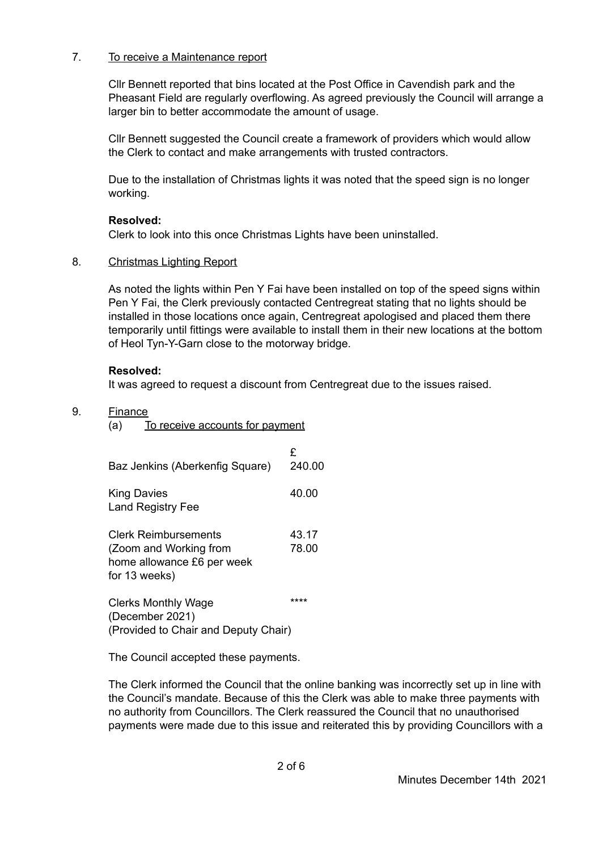## 7. To receive a Maintenance report

Cllr Bennett reported that bins located at the Post Office in Cavendish park and the Pheasant Field are regularly overflowing. As agreed previously the Council will arrange a larger bin to better accommodate the amount of usage.

Cllr Bennett suggested the Council create a framework of providers which would allow the Clerk to contact and make arrangements with trusted contractors.

Due to the installation of Christmas lights it was noted that the speed sign is no longer working.

## **Resolved:**

Clerk to look into this once Christmas Lights have been uninstalled.

## 8. Christmas Lighting Report

As noted the lights within Pen Y Fai have been installed on top of the speed signs within Pen Y Fai, the Clerk previously contacted Centregreat stating that no lights should be installed in those locations once again, Centregreat apologised and placed them there temporarily until fittings were available to install them in their new locations at the bottom of Heol Tyn-Y-Garn close to the motorway bridge.

## **Resolved:**

It was agreed to request a discount from Centregreat due to the issues raised.

## 9. Finance

(a) To receive accounts for payment

| Baz Jenkins (Aberkenfig Square)                                                               | £<br>240.00    |
|-----------------------------------------------------------------------------------------------|----------------|
| <b>King Davies</b><br><b>Land Registry Fee</b>                                                | 40.00          |
| Clerk Reimbursements<br>(Zoom and Working from<br>home allowance £6 per week<br>for 13 weeks) | 43.17<br>78.00 |
| <b>Clerks Monthly Wage</b><br>(December 2021)<br>(Provided to Chair and Deputy Chair)         | ****           |

The Council accepted these payments.

The Clerk informed the Council that the online banking was incorrectly set up in line with the Council's mandate. Because of this the Clerk was able to make three payments with no authority from Councillors. The Clerk reassured the Council that no unauthorised payments were made due to this issue and reiterated this by providing Councillors with a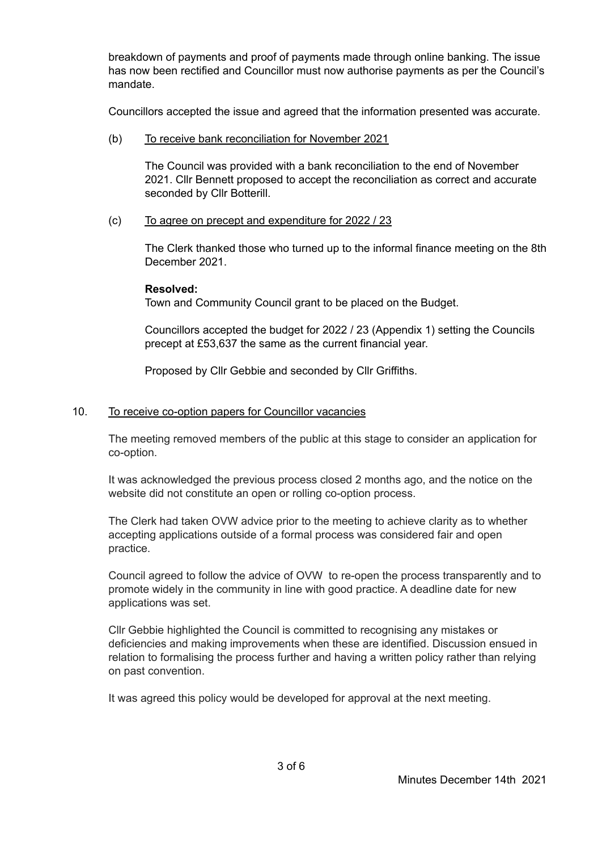breakdown of payments and proof of payments made through online banking. The issue has now been rectified and Councillor must now authorise payments as per the Council's mandate.

Councillors accepted the issue and agreed that the information presented was accurate.

(b) To receive bank reconciliation for November 2021

The Council was provided with a bank reconciliation to the end of November 2021. Cllr Bennett proposed to accept the reconciliation as correct and accurate seconded by Cllr Botterill.

(c) To agree on precept and expenditure for 2022 / 23

The Clerk thanked those who turned up to the informal finance meeting on the 8th December 2021.

## **Resolved:**

Town and Community Council grant to be placed on the Budget.

Councillors accepted the budget for 2022 / 23 (Appendix 1) setting the Councils precept at £53,637 the same as the current financial year.

Proposed by Cllr Gebbie and seconded by Cllr Griffiths.

## 10. To receive co-option papers for Councillor vacancies

The meeting removed members of the public at this stage to consider an application for co-option.

It was acknowledged the previous process closed 2 months ago, and the notice on the website did not constitute an open or rolling co-option process.

The Clerk had taken OVW advice prior to the meeting to achieve clarity as to whether accepting applications outside of a formal process was considered fair and open practice.

Council agreed to follow the advice of OVW to re-open the process transparently and to promote widely in the community in line with good practice. A deadline date for new applications was set.

Cllr Gebbie highlighted the Council is committed to recognising any mistakes or deficiencies and making improvements when these are identified. Discussion ensued in relation to formalising the process further and having a written policy rather than relying on past convention.

It was agreed this policy would be developed for approval at the next meeting.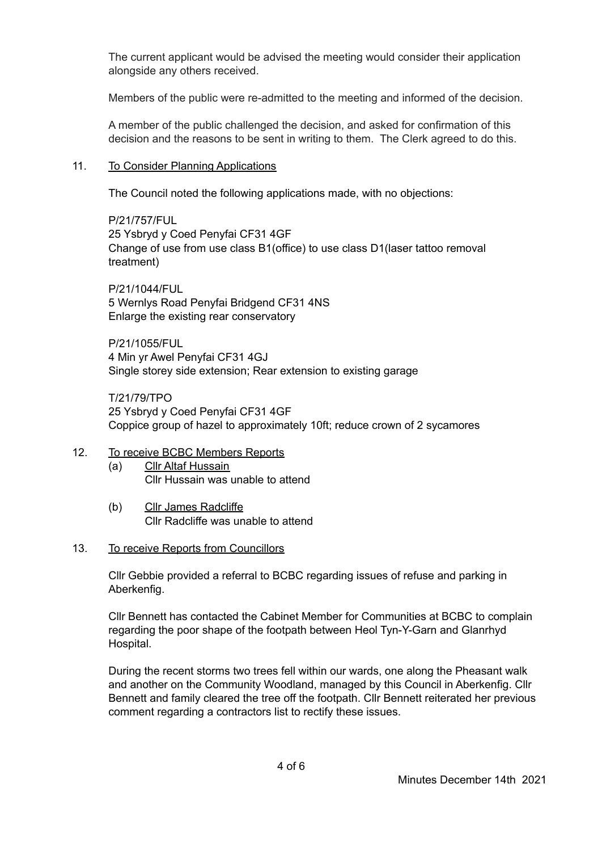The current applicant would be advised the meeting would consider their application alongside any others received.

Members of the public were re-admitted to the meeting and informed of the decision.

A member of the public challenged the decision, and asked for confirmation of this decision and the reasons to be sent in writing to them. The Clerk agreed to do this.

## 11. To Consider Planning Applications

The Council noted the following applications made, with no objections:

P/21/757/FUL 25 Ysbryd y Coed Penyfai CF31 4GF Change of use from use class B1(office) to use class D1(laser tattoo removal treatment)

P/21/1044/FUL 5 Wernlys Road Penyfai Bridgend CF31 4NS Enlarge the existing rear conservatory

P/21/1055/FUL 4 Min yr Awel Penyfai CF31 4GJ Single storey side extension; Rear extension to existing garage

T/21/79/TPO 25 Ysbryd y Coed Penyfai CF31 4GF Coppice group of hazel to approximately 10ft; reduce crown of 2 sycamores

#### 12. To receive BCBC Members Reports

- (a) Cllr Altaf Hussain Cllr Hussain was unable to attend
- (b) Cllr James Radcliffe Cllr Radcliffe was unable to attend

#### 13. To receive Reports from Councillors

Cllr Gebbie provided a referral to BCBC regarding issues of refuse and parking in Aberkenfig.

Cllr Bennett has contacted the Cabinet Member for Communities at BCBC to complain regarding the poor shape of the footpath between Heol Tyn-Y-Garn and Glanrhyd Hospital.

During the recent storms two trees fell within our wards, one along the Pheasant walk and another on the Community Woodland, managed by this Council in Aberkenfig. Cllr Bennett and family cleared the tree off the footpath. Cllr Bennett reiterated her previous comment regarding a contractors list to rectify these issues.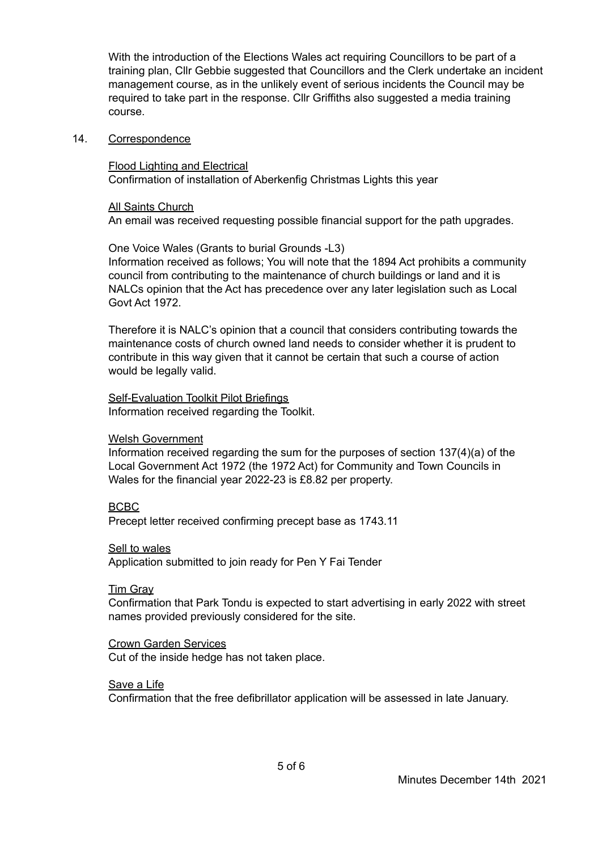With the introduction of the Elections Wales act requiring Councillors to be part of a training plan, Cllr Gebbie suggested that Councillors and the Clerk undertake an incident management course, as in the unlikely event of serious incidents the Council may be required to take part in the response. Cllr Griffiths also suggested a media training course.

#### 14. Correspondence

Flood Lighting and Electrical Confirmation of installation of Aberkenfig Christmas Lights this year

All Saints Church

An email was received requesting possible financial support for the path upgrades.

One Voice Wales (Grants to burial Grounds -L3) Information received as follows; You will note that the 1894 Act prohibits a community council from contributing to the maintenance of church buildings or land and it is NALCs opinion that the Act has precedence over any later legislation such as Local Govt Act 1972.

Therefore it is NALC's opinion that a council that considers contributing towards the maintenance costs of church owned land needs to consider whether it is prudent to contribute in this way given that it cannot be certain that such a course of action would be legally valid.

Self-Evaluation Toolkit Pilot Briefings Information received regarding the Toolkit.

#### Welsh Government

Information received regarding the sum for the purposes of section 137(4)(a) of the Local Government Act 1972 (the 1972 Act) for Community and Town Councils in Wales for the financial year 2022-23 is £8.82 per property.

#### BCBC

Precept letter received confirming precept base as 1743.11

Sell to wales

Application submitted to join ready for Pen Y Fai Tender

#### Tim Gray

Confirmation that Park Tondu is expected to start advertising in early 2022 with street names provided previously considered for the site.

Crown Garden Services Cut of the inside hedge has not taken place.

Save a Life

Confirmation that the free defibrillator application will be assessed in late January.